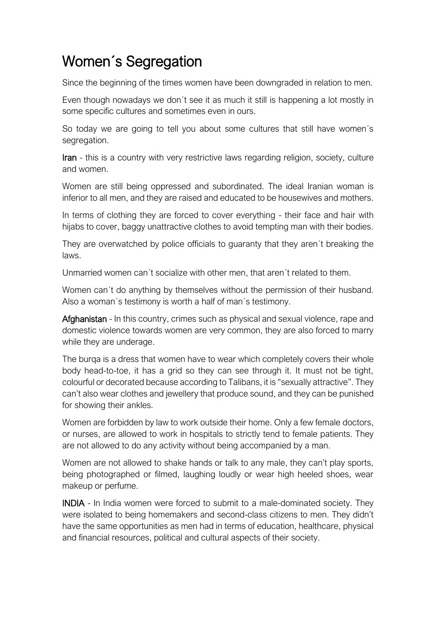## Women´s Segregation

Since the beginning of the times women have been downgraded in relation to men.

Even though nowadays we don´t see it as much it still is happening a lot mostly in some specific cultures and sometimes even in ours.

So today we are going to tell you about some cultures that still have women´s segregation.

Iran - this is a country with very restrictive laws regarding religion, society, culture and women.

Women are still being oppressed and subordinated. The ideal Iranian woman is inferior to all men, and they are raised and educated to be housewives and mothers.

In terms of clothing they are forced to cover everything - their face and hair with hijabs to cover, baggy unattractive clothes to avoid tempting man with their bodies.

They are overwatched by police officials to guaranty that they aren´t breaking the laws.

Unmarried women can´t socialize with other men, that aren´t related to them.

Women can´t do anything by themselves without the permission of their husband. Also a woman´s testimony is worth a half of man´s testimony.

Afghanistan - In this country, crimes such as physical and sexual violence, rape and domestic violence towards women are very common, they are also forced to marry while they are underage.

The burga is a dress that women have to wear which completely covers their whole body head-to-toe, it has a grid so they can see through it. It must not be tight, colourful or decorated because according to Talibans, it is "sexually attractive". They can't also wear clothes and jewellery that produce sound, and they can be punished for showing their ankles.

Women are forbidden by law to work outside their home. Only a few female doctors, or nurses, are allowed to work in hospitals to strictly tend to female patients. They are not allowed to do any activity without being accompanied by a man.

Women are not allowed to shake hands or talk to any male, they can't play sports, being photographed or filmed, laughing loudly or wear high heeled shoes, wear makeup or perfume.

INDIA - In India women were forced to submit to a male-dominated society. They were isolated to being homemakers and second-class citizens to men. They didn't have the same opportunities as men had in terms of education, healthcare, physical and financial resources, political and cultural aspects of their society.